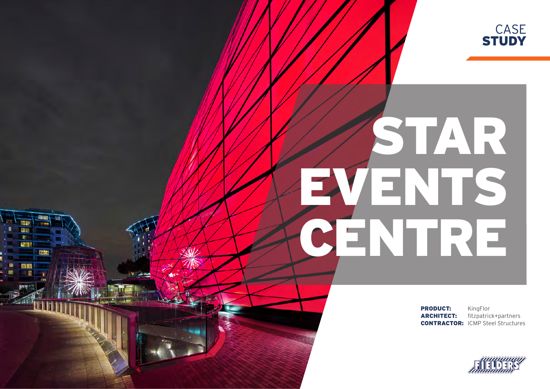

# STARR EVENTS CENTRE

Ħ. ÷ **RTP!** 

**RESERVE** 

PRODUCT: KingFlor

ARCHITECT: fitzpatrick+partners **CONTRACTOR: ICMP Steel Structures**